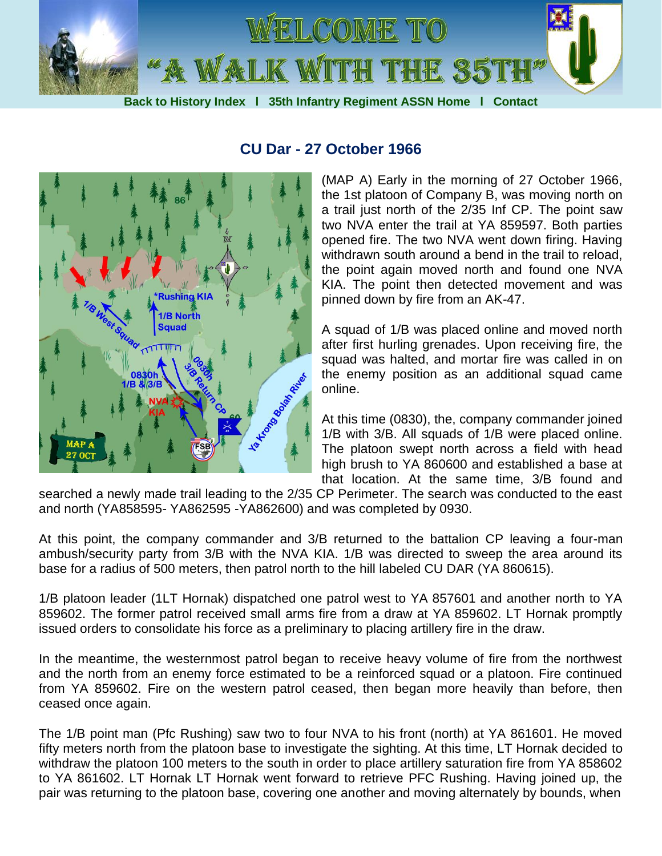



## **CU Dar - 27 October 1966**

(MAP A) Early in the morning of 27 October 1966, the 1st platoon of Company B, was moving north on a trail just north of the 2/35 Inf CP. The point saw two NVA enter the trail at YA 859597. Both parties opened fire. The two NVA went down firing. Having withdrawn south around a bend in the trail to reload, the point again moved north and found one NVA KIA. The point then detected movement and was pinned down by fire from an AK-47.

A squad of 1/B was placed online and moved north after first hurling grenades. Upon receiving fire, the squad was halted, and mortar fire was called in on the enemy position as an additional squad came online.

At this time (0830), the, company commander joined 1/B with 3/B. All squads of 1/B were placed online. The platoon swept north across a field with head high brush to YA 860600 and established a base at that location. At the same time, 3/B found and

searched a newly made trail leading to the 2/35 CP Perimeter. The search was conducted to the east and north (YA858595- YA862595 -YA862600) and was completed by 0930.

At this point, the company commander and 3/B returned to the battalion CP leaving a four-man ambush/security party from 3/B with the NVA KIA. 1/B was directed to sweep the area around its base for a radius of 500 meters, then patrol north to the hill labeled CU DAR (YA 860615).

1/B platoon leader (1LT Hornak) dispatched one patrol west to YA 857601 and another north to YA 859602. The former patrol received small arms fire from a draw at YA 859602. LT Hornak promptly issued orders to consolidate his force as a preliminary to placing artillery fire in the draw.

In the meantime, the westernmost patrol began to receive heavy volume of fire from the northwest and the north from an enemy force estimated to be a reinforced squad or a platoon. Fire continued from YA 859602. Fire on the western patrol ceased, then began more heavily than before, then ceased once again.

The 1/B point man (Pfc Rushing) saw two to four NVA to his front (north) at YA 861601. He moved fifty meters north from the platoon base to investigate the sighting. At this time, LT Hornak decided to withdraw the platoon 100 meters to the south in order to place artillery saturation fire from YA 858602 to YA 861602. LT Hornak LT Hornak went forward to retrieve PFC Rushing. Having joined up, the pair was returning to the platoon base, covering one another and moving alternately by bounds, when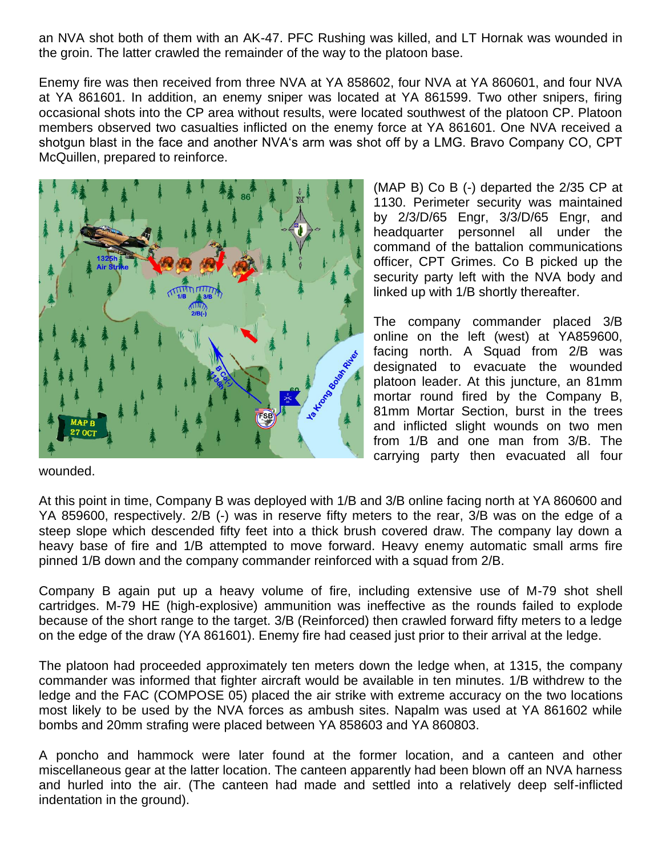an NVA shot both of them with an AK-47. PFC Rushing was killed, and LT Hornak was wounded in the groin. The latter crawled the remainder of the way to the platoon base.

Enemy fire was then received from three NVA at YA 858602, four NVA at YA 860601, and four NVA at YA 861601. In addition, an enemy sniper was located at YA 861599. Two other snipers, firing occasional shots into the CP area without results, were located southwest of the platoon CP. Platoon members observed two casualties inflicted on the enemy force at YA 861601. One NVA received a shotgun blast in the face and another NVA's arm was shot off by a LMG. Bravo Company CO, CPT McQuillen, prepared to reinforce.



(MAP B) Co B (-) departed the 2/35 CP at 1130. Perimeter security was maintained by 2/3/D/65 Engr, 3/3/D/65 Engr, and headquarter personnel all under the command of the battalion communications officer, CPT Grimes. Co B picked up the security party left with the NVA body and linked up with 1/B shortly thereafter.

The company commander placed 3/B online on the left (west) at YA859600, facing north. A Squad from 2/B was designated to evacuate the wounded platoon leader. At this juncture, an 81mm mortar round fired by the Company B, 81mm Mortar Section, burst in the trees and inflicted slight wounds on two men from 1/B and one man from 3/B. The carrying party then evacuated all four

wounded.

At this point in time, Company B was deployed with 1/B and 3/B online facing north at YA 860600 and YA 859600, respectively. 2/B (-) was in reserve fifty meters to the rear, 3/B was on the edge of a steep slope which descended fifty feet into a thick brush covered draw. The company lay down a heavy base of fire and 1/B attempted to move forward. Heavy enemy automatic small arms fire pinned 1/B down and the company commander reinforced with a squad from 2/B.

Company B again put up a heavy volume of fire, including extensive use of M-79 shot shell cartridges. M-79 HE (high-explosive) ammunition was ineffective as the rounds failed to explode because of the short range to the target. 3/B (Reinforced) then crawled forward fifty meters to a ledge on the edge of the draw (YA 861601). Enemy fire had ceased just prior to their arrival at the ledge.

The platoon had proceeded approximately ten meters down the ledge when, at 1315, the company commander was informed that fighter aircraft would be available in ten minutes. 1/B withdrew to the ledge and the FAC (COMPOSE 05) placed the air strike with extreme accuracy on the two locations most likely to be used by the NVA forces as ambush sites. Napalm was used at YA 861602 while bombs and 20mm strafing were placed between YA 858603 and YA 860803.

A poncho and hammock were later found at the former location, and a canteen and other miscellaneous gear at the latter location. The canteen apparently had been blown off an NVA harness and hurled into the air. (The canteen had made and settled into a relatively deep self-inflicted indentation in the ground).